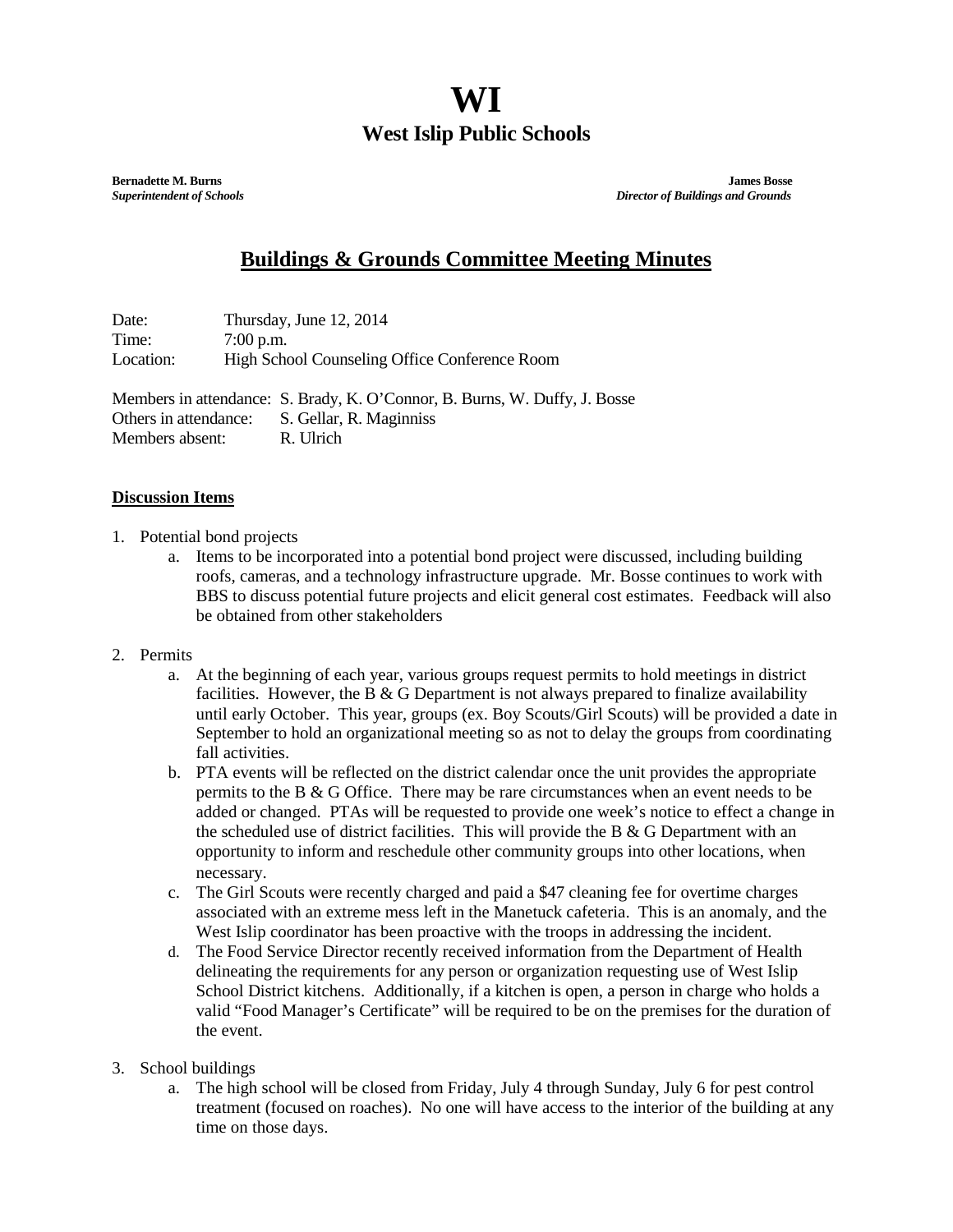## **WI West Islip Public Schools**

**Bernadette M. Burns James Bosse** *Superintendent of Schools**Director of Buildings and Grounds*

## **Buildings & Grounds Committee Meeting Minutes**

Date: Thursday, June 12, 2014 Time: 7:00 p.m. Location: High School Counseling Office Conference Room

Members in attendance: S. Brady, K. O'Connor, B. Burns, W. Duffy, J. Bosse Others in attendance: S. Gellar, R. Maginniss Members absent: R. Ulrich

## **Discussion Items**

- 1. Potential bond projects
	- a. Items to be incorporated into a potential bond project were discussed, including building roofs, cameras, and a technology infrastructure upgrade. Mr. Bosse continues to work with BBS to discuss potential future projects and elicit general cost estimates. Feedback will also be obtained from other stakeholders
- 2. Permits
	- a. At the beginning of each year, various groups request permits to hold meetings in district facilities. However, the B  $\&$  G Department is not always prepared to finalize availability until early October. This year, groups (ex. Boy Scouts/Girl Scouts) will be provided a date in September to hold an organizational meeting so as not to delay the groups from coordinating fall activities.
	- b. PTA events will be reflected on the district calendar once the unit provides the appropriate permits to the B & G Office. There may be rare circumstances when an event needs to be added or changed. PTAs will be requested to provide one week's notice to effect a change in the scheduled use of district facilities. This will provide the B & G Department with an opportunity to inform and reschedule other community groups into other locations, when necessary.
	- c. The Girl Scouts were recently charged and paid a \$47 cleaning fee for overtime charges associated with an extreme mess left in the Manetuck cafeteria. This is an anomaly, and the West Islip coordinator has been proactive with the troops in addressing the incident.
	- d. The Food Service Director recently received information from the Department of Health delineating the requirements for any person or organization requesting use of West Islip School District kitchens. Additionally, if a kitchen is open, a person in charge who holds a valid "Food Manager's Certificate" will be required to be on the premises for the duration of the event.
- 3. School buildings
	- a. The high school will be closed from Friday, July 4 through Sunday, July 6 for pest control treatment (focused on roaches). No one will have access to the interior of the building at any time on those days.